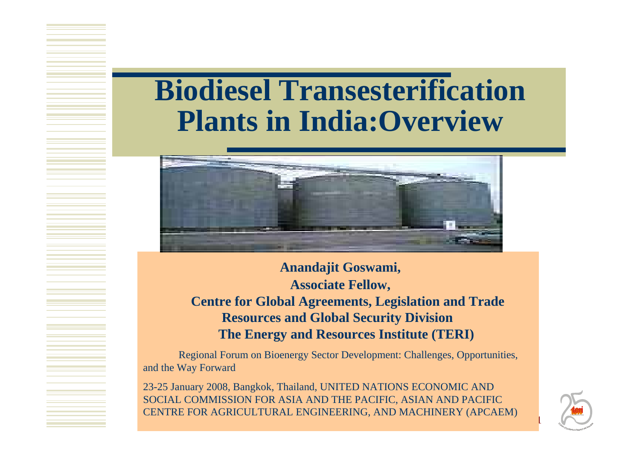### **Biodiesel Transesterification Plants in India:Overview**



**Anandajit Goswami, Associate Fellow, Centre for Global Agreements, Legislation and Trade Resources and Global Security Division The Energy and Resources Institute (TERI)**

Regional Forum on Bioenergy Sector Development: Challenges, Opport unities, and the Way Forward

23-25 January 2008, Bangkok, Thailand, UNITED NATIONS ECONOMIC AND SOCIAL COMMISSION FOR ASIA AND THE PACIFIC, ASIAN AND PACIFIC CENTRE FOR AGRICULTURAL ENGINEERING, AND MACHINERY (APCAEM)



1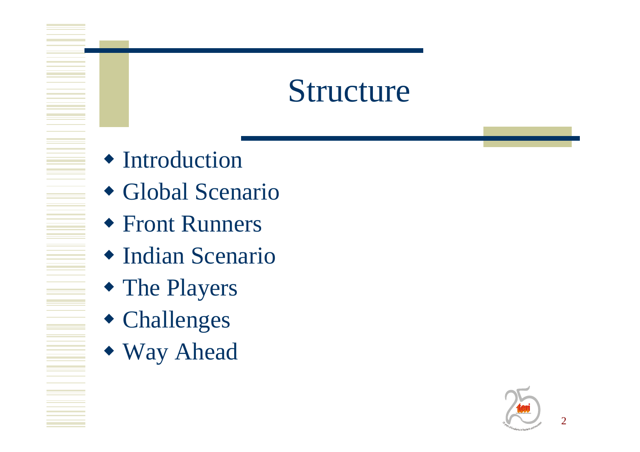### **Structure**

- Introduction
- Global Scenario
- Front Runners
- Indian Scenario
- The Players
- Challenges
- Way Ahead

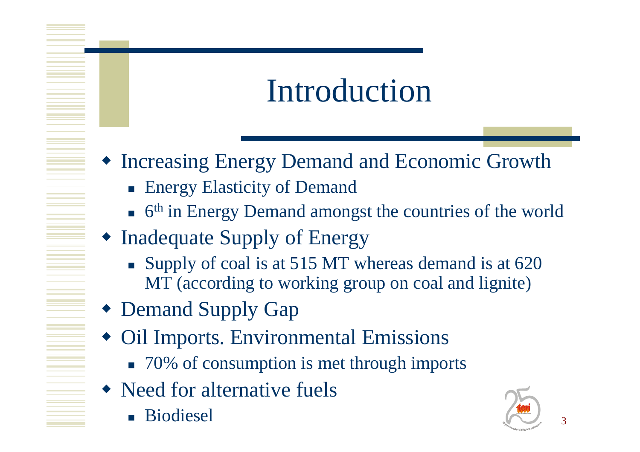## Introduction

- Increasing Energy Demand and Economic Growth
	- **Energy Elasticity of Demand**
	- $\bullet$  6<sup>th</sup> in Energy Demand amongst the countries of the world
- Inadequate Supply of Energy
	- Supply of coal is at 515 MT whereas demand is at 620 MT (according to working group on coal and lignite)
- Demand Supply Gap
- Oil Imports. Environmental Emissions
	- 70% of consumption is met through imports
- Need for alternative fuels
	- F. **E** Biodiesel

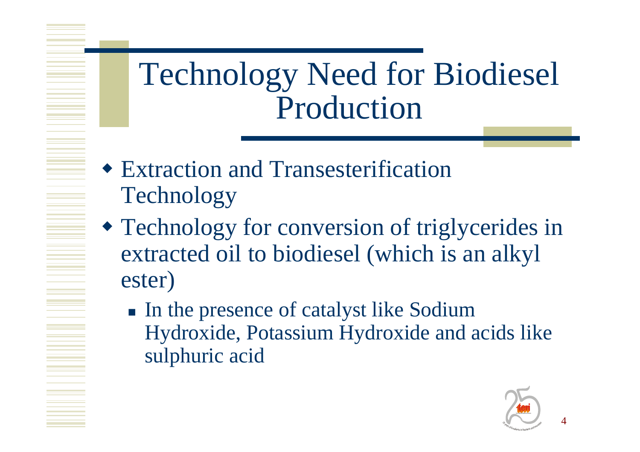Technology Need for Biodiesel Production

- Extraction and Transesterification Technology
- Technology for conversion of triglycerides in extracted oil to biodiesel (which is an alkyl ester)
	- In the presence of catalyst like Sodium Hydroxide, Potassium Hydroxide and acids like sulphuric acid

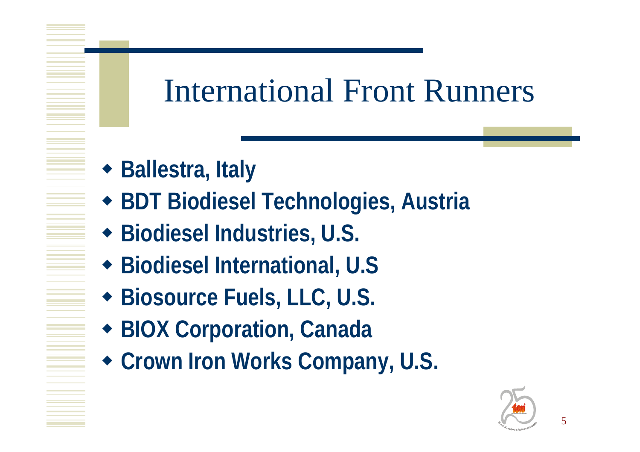## **International Front Runners**

- ◆ Ballestra, Italy
- **\* BDT Biodiesel Technologies, Austria**
- ◆ Biodiesel Industries, U.S.
- ◆ Biodiesel International, U.S
- ◆ Biosource Fuels, LLC, U.S.
- ◆ BIOX Corporation, Canada
- Crown Iron Works Company, U.S.

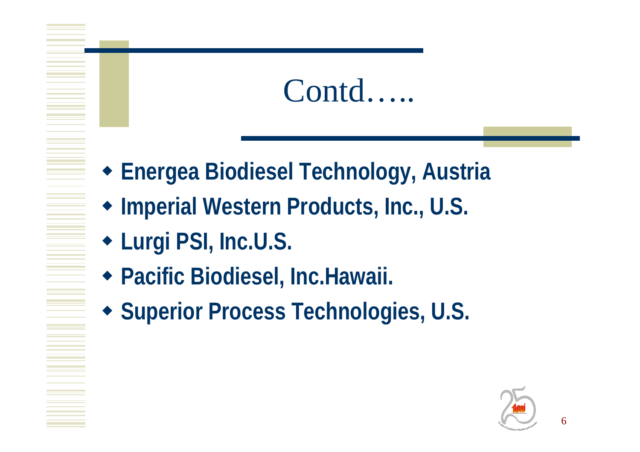### Contd.....

- ◆ Energea Biodiesel Technology, Austria
- Imperial Western Products, Inc., U.S.
- Lurgi PSI, Inc.U.S.
- ◆ Pacific Biodiesel, Inc.Hawaii.
- ◆ Superior Process Technologies, U.S.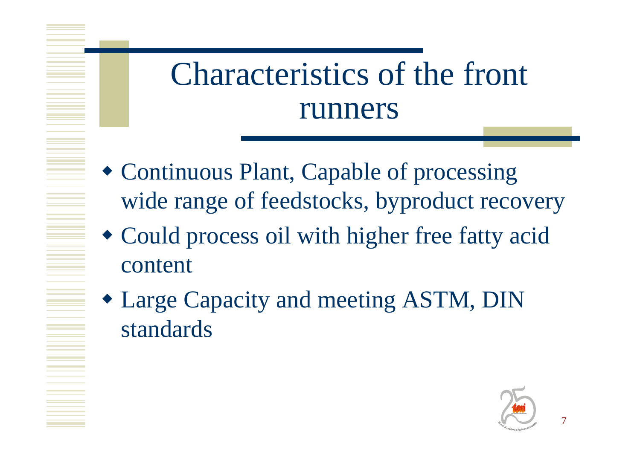# Characteristics of the front runners

- Continuous Plant, Capable of processing wide range of feedstocks, byproduct recovery
- Could process oil with higher free fatty acid content
- Large Capacity and meeting ASTM, DIN standards

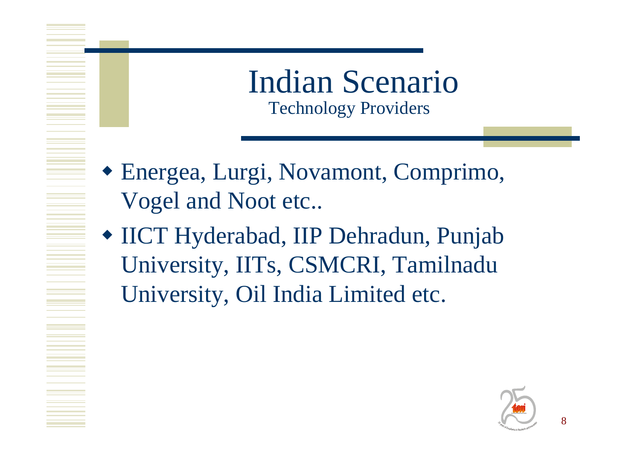Indian Scenario Technology Providers

- Energea, Lurgi, Novamont, Comprimo, Vogel and Noot etc..
- IICT Hyderabad, IIP Dehradun, Punjab University, IITs, CSMCRI, Tamilnadu University, Oil India Limited etc.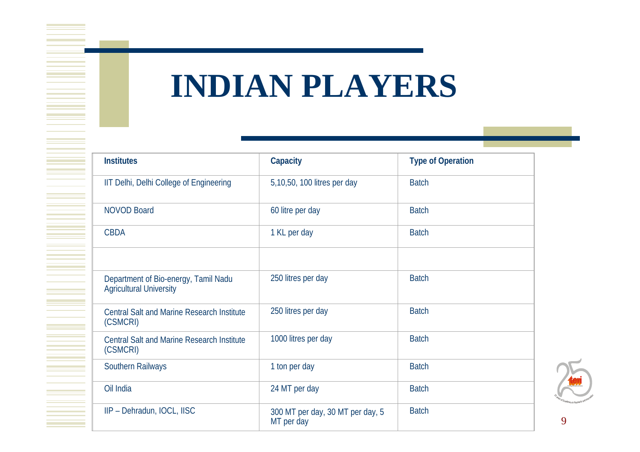# **INDIAN PLAYERS**

| <b>Institutes</b>                                                      | Capacity                                       | <b>Type of Operation</b> |
|------------------------------------------------------------------------|------------------------------------------------|--------------------------|
| IIT Delhi, Delhi College of Engineering                                | 5,10,50, 100 litres per day                    | <b>Batch</b>             |
| <b>NOVOD Board</b>                                                     | 60 litre per day                               | <b>Batch</b>             |
| <b>CBDA</b>                                                            | 1 KL per day                                   | <b>Batch</b>             |
|                                                                        |                                                |                          |
| Department of Bio-energy, Tamil Nadu<br><b>Agricultural University</b> | 250 litres per day                             | <b>Batch</b>             |
| <b>Central Salt and Marine Research Institute</b><br>(CSMCRI)          | 250 litres per day                             | <b>Batch</b>             |
| <b>Central Salt and Marine Research Institute</b><br>(CSMCRI)          | 1000 litres per day                            | <b>Batch</b>             |
| Southern Railways                                                      | 1 ton per day                                  | <b>Batch</b>             |
| Oil India                                                              | 24 MT per day                                  | <b>Batch</b>             |
| IIP - Dehradun, IOCL, IISC                                             | 300 MT per day, 30 MT per day, 5<br>MT per day | <b>Batch</b>             |

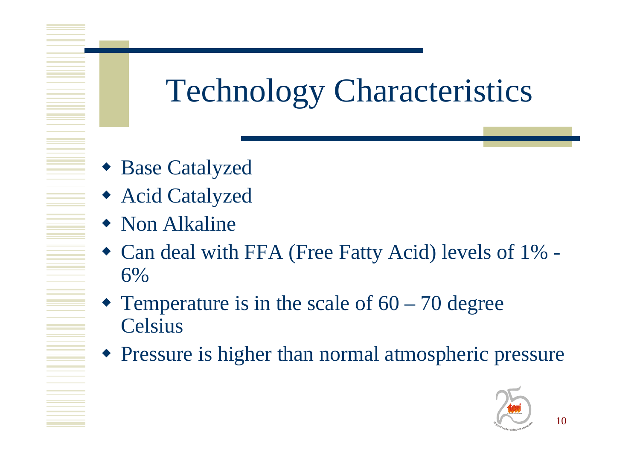# Technology Characteristics

- Base Catalyzed
- Acid Catalyzed
- Non Alkaline
- Can deal with FFA (Free Fatty Acid) levels of 1% 6%
- Temperature is in the scale of  $60 70$  degree **Celsius**
- Pressure is higher than normal atmospheric pressure

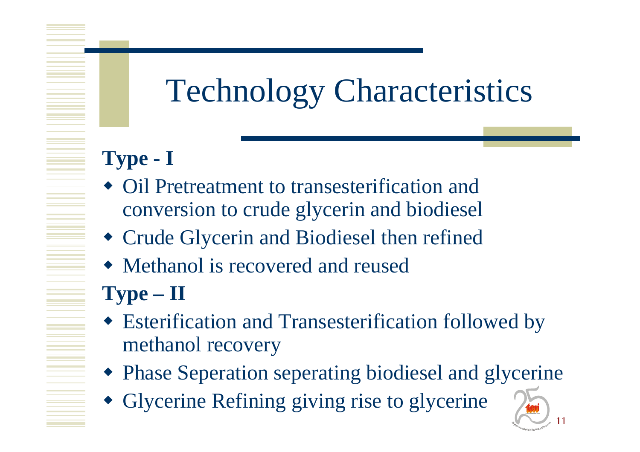# Technology Characteristics

#### **Type - I**

- Oil Pretreatment to transesterification and conversion to crude glycerin and biodiesel
- Crude Glycerin and Biodiesel then refined
- Methanol is recovered and reused

#### **Type – I I**

- Esterification and Transesterification followed by methanol recovery
- Phase Seperation seperating biodiesel and glycerine

11

**Energy and Resources Institute**

in Research and Innovation

 $\frac{1}{3}$  years of Excellence

Glycerine Refining giving rise to glycerine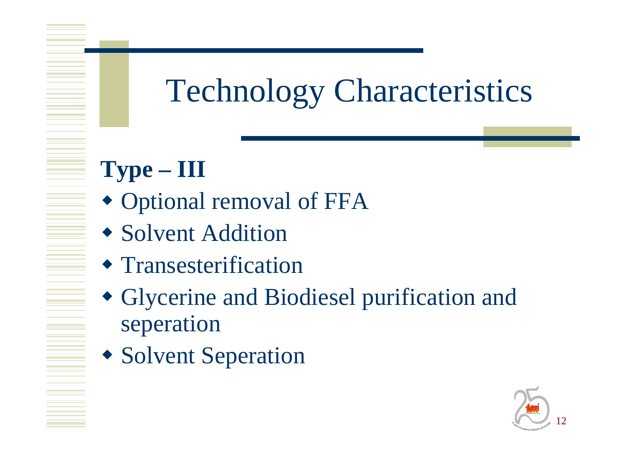# **Technology Characteristics**

### $Type - III$

- Optional removal of FFA
- Solvent Addition
- Transesterification
- Glycerine and Biodiesel purification and seperation
- Solvent Seperation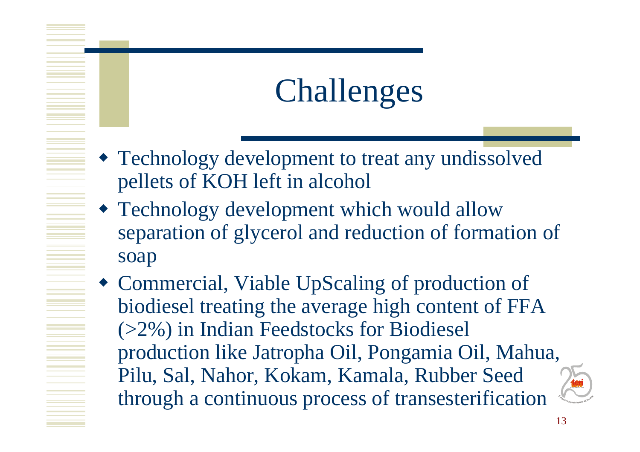# Challenges

- Technology development to treat any undissolved pellets of KOH left in alcohol
- Technology development which would allow separation of glycerol and reduction of formation of soap
- Commercial, Viable UpScaling of production of biodiesel treating the average high content of FFA (>2%) in Indian Feedstocks for Biodiesel production like Jatropha Oil, Pongamia Oil, Mahua, Pilu, Sal, Nahor, Kokam, Kamala, Rubber Seed through a continuous process of transesterification  $\sigma_{\rm Fens}$ d Excellence

<sup>i</sup>n Researc<sup>h</sup> an<sup>d</sup> <sup>I</sup>nnovatio<sup>n</sup>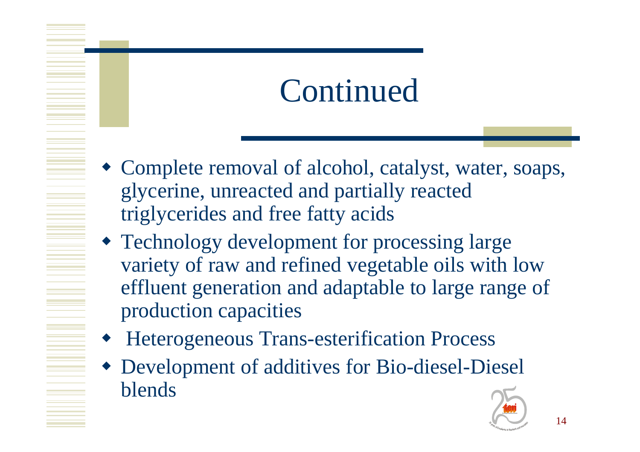## Continued

- Complete removal of alcohol, catalyst, water, soaps, glycerine, unreacted and partially reacted triglycerides and free fatty acids
- Technology development for processing large variety of raw and refined vegetable oils with low effluent generation and adaptable to large range of production capacities
- ♦ Heterogeneous Trans-esterification Process
- Development of additives for Bio-diesel-Diesel blends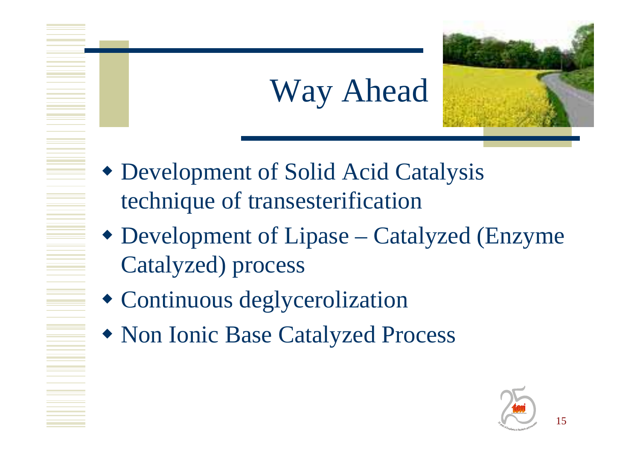# Way Ahead

- Development of Solid Acid Catalysis technique of transesterification
- Development of Lipase Catalyzed (Enzyme Catalyzed) process
- Continuous deglycerolization
- Non Ionic Base Catalyzed Process